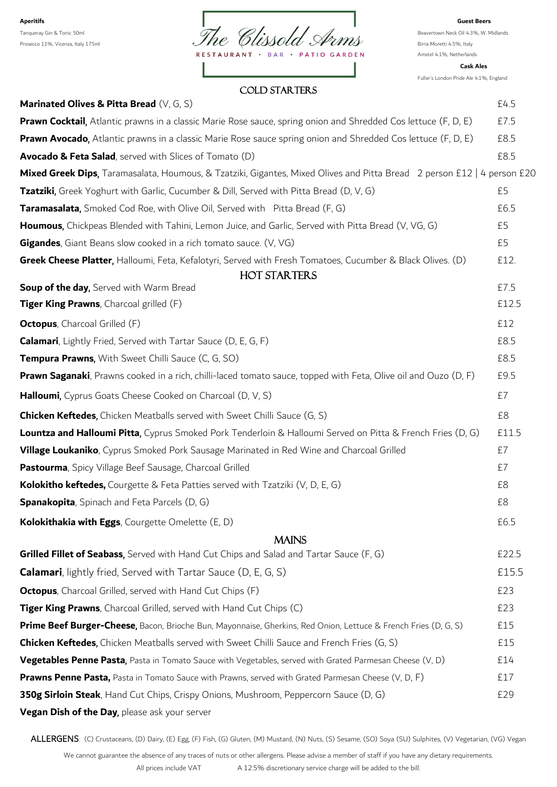

Amstel 4.1%, Netherlands

Fuller's London Pride Ale 4.1%, England

**Cask Ales**

#### COLD STARTERS

| Marinated Olives & Pitta Bread (V, G, S)                                                                                | £4.5          |
|-------------------------------------------------------------------------------------------------------------------------|---------------|
| <b>Prawn Cocktail</b> , Atlantic prawns in a classic Marie Rose sauce, spring onion and Shredded Cos lettuce (F, D, E)  | £7.5          |
| Prawn Avocado, Atlantic prawns in a classic Marie Rose sauce spring onion and Shredded Cos lettuce (F, D, E)            | £8.5          |
| Avocado & Feta Salad, served with Slices of Tomato (D)                                                                  | £8.5          |
| Mixed Greek Dips, Taramasalata, Houmous, & Tzatziki, Gigantes, Mixed Olives and Pitta Bread 2 person £12   4 person £20 |               |
| Tzatziki, Greek Yoghurt with Garlic, Cucumber & Dill, Served with Pitta Bread (D, V, G)                                 | £5            |
| <b>Taramasalata,</b> Smoked Cod Roe, with Olive Oil, Served with Pitta Bread (F, G)                                     | £6.5          |
| Houmous, Chickpeas Blended with Tahini, Lemon Juice, and Garlic, Served with Pitta Bread (V, VG, G)                     | £5            |
| Gigandes, Giant Beans slow cooked in a rich tomato sauce. (V, VG)                                                       | £5            |
| Greek Cheese Platter, Halloumi, Feta, Kefalotyri, Served with Fresh Tomatoes, Cucumber & Black Olives. (D)              | £12.          |
| HOT STARTERS                                                                                                            |               |
| Soup of the day, Served with Warm Bread<br><b>Tiger King Prawns</b> , Charcoal grilled (F)                              | £7.5<br>£12.5 |
|                                                                                                                         |               |
| <b>Octopus</b> , Charcoal Grilled (F)                                                                                   | £12           |
| <b>Calamari</b> , Lightly Fried, Served with Tartar Sauce (D, E, G, F)                                                  | £8.5          |
| <b>Tempura Prawns, With Sweet Chilli Sauce (C, G, SO)</b>                                                               | £8.5          |
| <b>Prawn Saganaki</b> , Prawns cooked in a rich, chilli-laced tomato sauce, topped with Feta, Olive oil and Ouzo (D, F) | £9.5          |
| Halloumi, Cyprus Goats Cheese Cooked on Charcoal (D, V, S)                                                              | £7            |
| <b>Chicken Keftedes,</b> Chicken Meatballs served with Sweet Chilli Sauce (G, S)                                        | £8            |
| Lountza and Halloumi Pitta, Cyprus Smoked Pork Tenderloin & Halloumi Served on Pitta & French Fries (D, G)              | £11.5         |
| Village Loukaniko, Cyprus Smoked Pork Sausage Marinated in Red Wine and Charcoal Grilled                                | £7            |
| Pastourma, Spicy Village Beef Sausage, Charcoal Grilled                                                                 | £7            |
| Kolokitho keftedes, Courgette & Feta Patties served with Tzatziki (V, D, E, G)                                          | £8            |
| <b>Spanakopita</b> , Spinach and Feta Parcels (D, G)                                                                    | £8            |
| Kolokithakia with Eggs, Courgette Omelette (E, D)                                                                       | £6.5          |
| <b>MAINS</b>                                                                                                            |               |
| Grilled Fillet of Seabass, Served with Hand Cut Chips and Salad and Tartar Sauce (F, G)                                 | £22.5         |
| <b>Calamari</b> , lightly fried, Served with Tartar Sauce (D, E, G, S)                                                  | £15.5         |
| <b>Octopus</b> , Charcoal Grilled, served with Hand Cut Chips (F)                                                       | £23           |
| Tiger King Prawns, Charcoal Grilled, served with Hand Cut Chips (C)                                                     | £23           |
| Prime Beef Burger-Cheese, Bacon, Brioche Bun, Mayonnaise, Gherkins, Red Onion, Lettuce & French Fries (D, G, S)         | £15           |
| <b>Chicken Keftedes,</b> Chicken Meatballs served with Sweet Chilli Sauce and French Fries (G, S)                       | £15           |
| <b>Vegetables Penne Pasta</b> , Pasta in Tomato Sauce with Vegetables, served with Grated Parmesan Cheese (V, D)        | £14           |
| <b>Prawns Penne Pasta,</b> Pasta in Tomato Sauce with Prawns, served with Grated Parmesan Cheese (V, D, F)              | £17           |
| 350g Sirloin Steak, Hand Cut Chips, Crispy Onions, Mushroom, Peppercorn Sauce (D, G)                                    | £29           |
| Vegan Dish of the Day, please ask your server                                                                           |               |

ALLERGENS: (C) Crustaceans, (D) Dairy, (E) Egg, (F) Fish, (G) Gluten, (M) Mustard, (N) Nuts, (S) Sesame, (SO) Soya (SU) Sulphites, (V) Vegetarian, (VG) Vegan

We cannot guarantee the absence of any traces of nuts or other allergens. Please advise a member of staff if you have any dietary requirements. All prices include VAT A 12.5% discretionary service charge will be added to the bill.